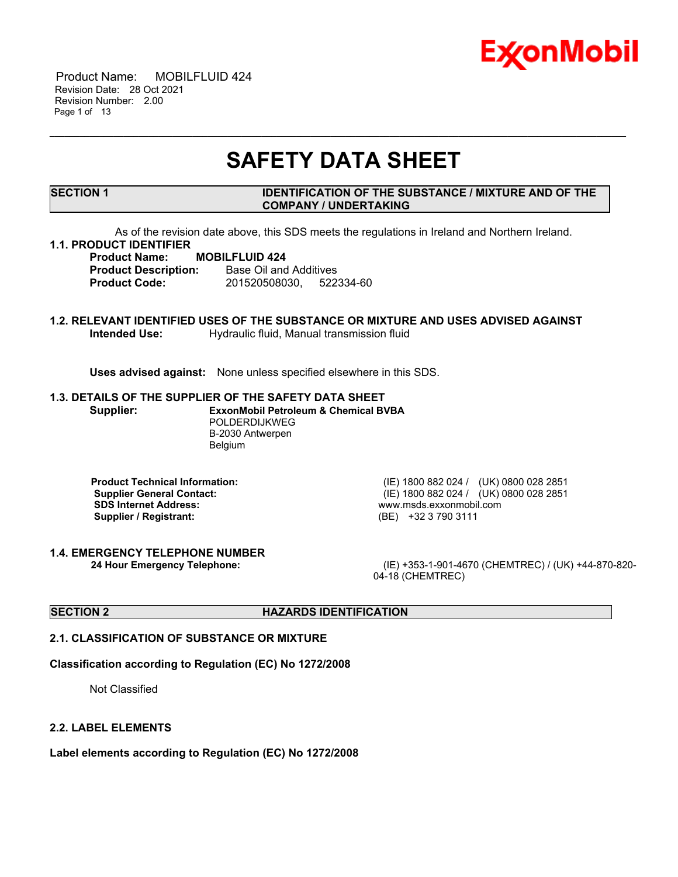

 Product Name: MOBILFLUID 424 Revision Date: 28 Oct 2021 Revision Number: 2.00 Page 1 of 13

# **SAFETY DATA SHEET**

\_\_\_\_\_\_\_\_\_\_\_\_\_\_\_\_\_\_\_\_\_\_\_\_\_\_\_\_\_\_\_\_\_\_\_\_\_\_\_\_\_\_\_\_\_\_\_\_\_\_\_\_\_\_\_\_\_\_\_\_\_\_\_\_\_\_\_\_\_\_\_\_\_\_\_\_\_\_\_\_\_\_\_\_\_\_\_\_\_\_\_\_\_\_\_\_\_\_\_\_\_\_\_\_\_\_\_\_\_\_\_\_\_\_\_\_\_

### **SECTION 1 IDENTIFICATION OF THE SUBSTANCE / MIXTURE AND OF THE COMPANY / UNDERTAKING**

As of the revision date above, this SDS meets the regulations in Ireland and Northern Ireland.

## **1.1. PRODUCT IDENTIFIER**

**Product Name: MOBILFLUID 424 Product Description:** Base Oil and Additives **Product Code:** 201520508030, 522334-60

## **1.2. RELEVANT IDENTIFIED USES OF THE SUBSTANCE OR MIXTURE AND USES ADVISED AGAINST Intended Use:** Hydraulic fluid, Manual transmission fluid

**Uses advised against:** None unless specified elsewhere in this SDS.

#### **1.3. DETAILS OF THE SUPPLIER OF THE SAFETY DATA SHEET**

**Supplier: ExxonMobil Petroleum & Chemical BVBA** POLDERDIJKWEG B-2030 Antwerpen Belgium

**SDS Internet Address:** www.msds.exxonmobil.com **Supplier / Registrant:** (BE) +32 3 790 3111

**1.4. EMERGENCY TELEPHONE NUMBER**

**Product Technical Information:** (IE) 1800 882 024 / (UK) 0800 028 2851 **Supplier General Contact:** (IE) 1800 882 024 / (UK) 0800 028 2851

**24 Hour Emergency Telephone:** (IE) +353-1-901-4670 (CHEMTREC) / (UK) +44-870-820- 04-18 (CHEMTREC)

## **SECTION 2 HAZARDS IDENTIFICATION**

## **2.1. CLASSIFICATION OF SUBSTANCE OR MIXTURE**

### **Classification according to Regulation (EC) No 1272/2008**

Not Classified

### **2.2. LABEL ELEMENTS**

**Label elements according to Regulation (EC) No 1272/2008**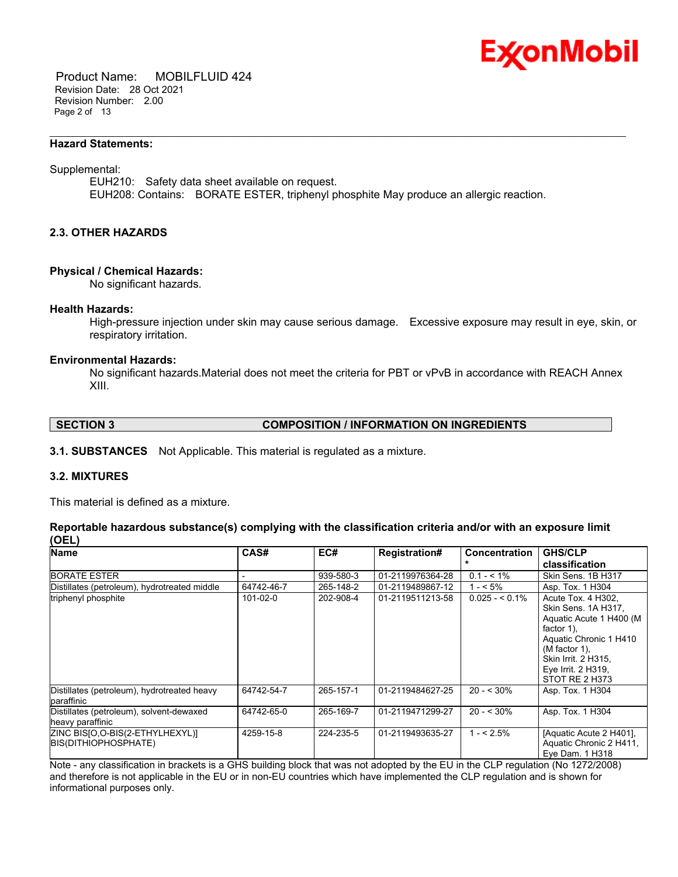

 Product Name: MOBILFLUID 424 Revision Date: 28 Oct 2021 Revision Number: 2.00 Page 2 of 13

#### **Hazard Statements:**

#### Supplemental:

EUH210: Safety data sheet available on request. EUH208: Contains: BORATE ESTER, triphenyl phosphite May produce an allergic reaction.

\_\_\_\_\_\_\_\_\_\_\_\_\_\_\_\_\_\_\_\_\_\_\_\_\_\_\_\_\_\_\_\_\_\_\_\_\_\_\_\_\_\_\_\_\_\_\_\_\_\_\_\_\_\_\_\_\_\_\_\_\_\_\_\_\_\_\_\_\_\_\_\_\_\_\_\_\_\_\_\_\_\_\_\_\_\_\_\_\_\_\_\_\_\_\_\_\_\_\_\_\_\_\_\_\_\_\_\_\_\_\_\_\_\_\_\_\_

## **2.3. OTHER HAZARDS**

#### **Physical / Chemical Hazards:**

No significant hazards.

#### **Health Hazards:**

High-pressure injection under skin may cause serious damage. Excessive exposure may result in eye, skin, or respiratory irritation.

### **Environmental Hazards:**

No significant hazards.Material does not meet the criteria for PBT or vPvB in accordance with REACH Annex XIII.

## **SECTION 3 COMPOSITION / INFORMATION ON INGREDIENTS**

**3.1. SUBSTANCES** Not Applicable. This material is regulated as a mixture.

## **3.2. MIXTURES**

This material is defined as a mixture.

## **Reportable hazardous substance(s) complying with the classification criteria and/or with an exposure limit (OEL)**

| <b>Name</b>                                                  | CAS#           | EC#       | <b>Registration#</b> | <b>Concentration</b> | <b>GHS/CLP</b>                                                                                                                                                                                     |
|--------------------------------------------------------------|----------------|-----------|----------------------|----------------------|----------------------------------------------------------------------------------------------------------------------------------------------------------------------------------------------------|
|                                                              |                |           |                      |                      | classification                                                                                                                                                                                     |
| <b>BORATE ESTER</b>                                          |                | 939-580-3 | 01-2119976364-28     | $0.1 - 5.1\%$        | Skin Sens. 1B H317                                                                                                                                                                                 |
| Distillates (petroleum), hydrotreated middle                 | 64742-46-7     | 265-148-2 | 01-2119489867-12     | $1 - 5\%$            | Asp. Tox. 1 H304                                                                                                                                                                                   |
| triphenyl phosphite                                          | $101 - 02 - 0$ | 202-908-4 | 01-2119511213-58     | $0.025 - 5.1\%$      | Acute Tox. 4 H302.<br>Skin Sens. 1A H317,<br>Aquatic Acute 1 H400 (M<br>factor $1$ ),<br>Aquatic Chronic 1 H410<br>$(M factor 1)$ ,<br>Skin Irrit. 2 H315,<br>Eye Irrit. 2 H319,<br>STOT RE 2 H373 |
| Distillates (petroleum), hydrotreated heavy<br>paraffinic    | 64742-54-7     | 265-157-1 | 01-2119484627-25     | $20 - 530\%$         | Asp. Tox. 1 H304                                                                                                                                                                                   |
| Distillates (petroleum), solvent-dewaxed<br>heavy paraffinic | 64742-65-0     | 265-169-7 | 01-2119471299-27     | $20 - 530\%$         | Asp. Tox. 1 H304                                                                                                                                                                                   |
| ZINC BISJO, O-BIS(2-ETHYLHEXYL)]<br>BIS(DITHIOPHOSPHATE)     | 4259-15-8      | 224-235-5 | 01-2119493635-27     | $1 - 5\%$            | [Aquatic Acute 2 H401],<br>Aquatic Chronic 2 H411,<br>Eye Dam. 1 H318                                                                                                                              |

Note - any classification in brackets is a GHS building block that was not adopted by the EU in the CLP regulation (No 1272/2008) and therefore is not applicable in the EU or in non-EU countries which have implemented the CLP regulation and is shown for informational purposes only.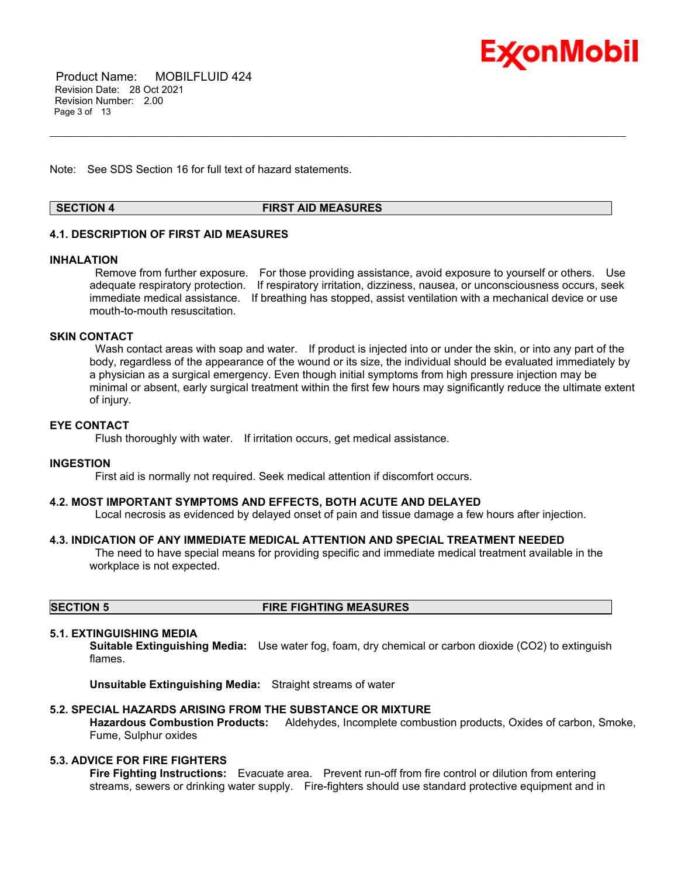

 Product Name: MOBILFLUID 424 Revision Date: 28 Oct 2021 Revision Number: 2.00 Page 3 of 13

Note: See SDS Section 16 for full text of hazard statements.

## **SECTION 4 FIRST AID MEASURES**

\_\_\_\_\_\_\_\_\_\_\_\_\_\_\_\_\_\_\_\_\_\_\_\_\_\_\_\_\_\_\_\_\_\_\_\_\_\_\_\_\_\_\_\_\_\_\_\_\_\_\_\_\_\_\_\_\_\_\_\_\_\_\_\_\_\_\_\_\_\_\_\_\_\_\_\_\_\_\_\_\_\_\_\_\_\_\_\_\_\_\_\_\_\_\_\_\_\_\_\_\_\_\_\_\_\_\_\_\_\_\_\_\_\_\_\_\_

## **4.1. DESCRIPTION OF FIRST AID MEASURES**

#### **INHALATION**

Remove from further exposure. For those providing assistance, avoid exposure to yourself or others. Use adequate respiratory protection. If respiratory irritation, dizziness, nausea, or unconsciousness occurs, seek immediate medical assistance. If breathing has stopped, assist ventilation with a mechanical device or use mouth-to-mouth resuscitation.

## **SKIN CONTACT**

Wash contact areas with soap and water. If product is injected into or under the skin, or into any part of the body, regardless of the appearance of the wound or its size, the individual should be evaluated immediately by a physician as a surgical emergency. Even though initial symptoms from high pressure injection may be minimal or absent, early surgical treatment within the first few hours may significantly reduce the ultimate extent of injury.

## **EYE CONTACT**

Flush thoroughly with water. If irritation occurs, get medical assistance.

### **INGESTION**

First aid is normally not required. Seek medical attention if discomfort occurs.

#### **4.2. MOST IMPORTANT SYMPTOMS AND EFFECTS, BOTH ACUTE AND DELAYED**

Local necrosis as evidenced by delayed onset of pain and tissue damage a few hours after injection.

#### **4.3. INDICATION OF ANY IMMEDIATE MEDICAL ATTENTION AND SPECIAL TREATMENT NEEDED**

The need to have special means for providing specific and immediate medical treatment available in the workplace is not expected.

## **SECTION 5 FIRE FIGHTING MEASURES**

#### **5.1. EXTINGUISHING MEDIA**

**Suitable Extinguishing Media:** Use water fog, foam, dry chemical or carbon dioxide (CO2) to extinguish flames.

**Unsuitable Extinguishing Media:** Straight streams of water

### **5.2. SPECIAL HAZARDS ARISING FROM THE SUBSTANCE OR MIXTURE**

**Hazardous Combustion Products:** Aldehydes, Incomplete combustion products, Oxides of carbon, Smoke, Fume, Sulphur oxides

## **5.3. ADVICE FOR FIRE FIGHTERS**

**Fire Fighting Instructions:** Evacuate area. Prevent run-off from fire control or dilution from entering streams, sewers or drinking water supply. Fire-fighters should use standard protective equipment and in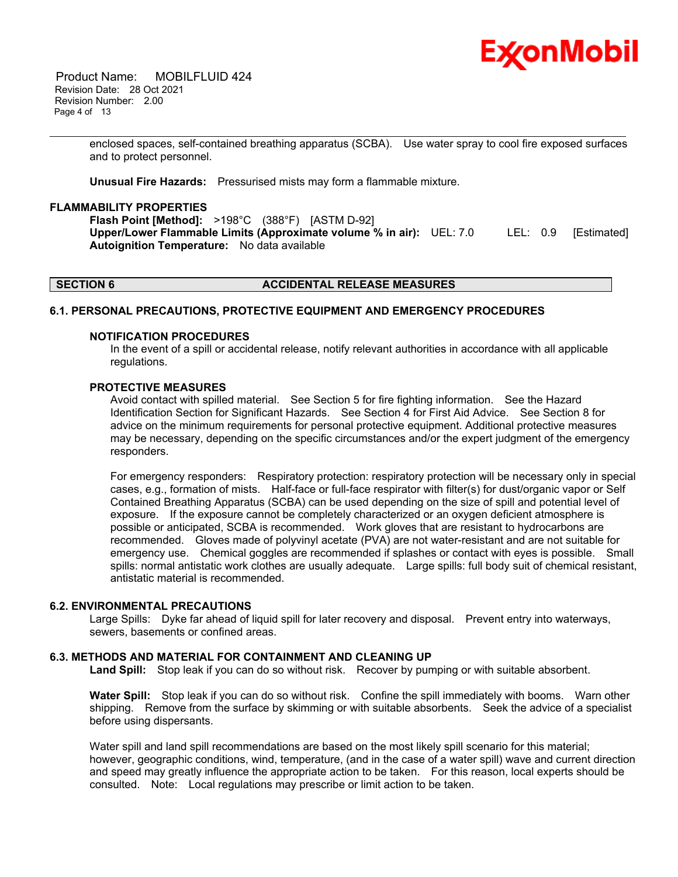

 Product Name: MOBILFLUID 424 Revision Date: 28 Oct 2021 Revision Number: 2.00 Page 4 of 13

> enclosed spaces, self-contained breathing apparatus (SCBA). Use water spray to cool fire exposed surfaces and to protect personnel.

\_\_\_\_\_\_\_\_\_\_\_\_\_\_\_\_\_\_\_\_\_\_\_\_\_\_\_\_\_\_\_\_\_\_\_\_\_\_\_\_\_\_\_\_\_\_\_\_\_\_\_\_\_\_\_\_\_\_\_\_\_\_\_\_\_\_\_\_\_\_\_\_\_\_\_\_\_\_\_\_\_\_\_\_\_\_\_\_\_\_\_\_\_\_\_\_\_\_\_\_\_\_\_\_\_\_\_\_\_\_\_\_\_\_\_\_\_

**Unusual Fire Hazards:** Pressurised mists may form a flammable mixture.

### **FLAMMABILITY PROPERTIES**

**Flash Point [Method]:** >198°C (388°F) [ASTM D-92] **Upper/Lower Flammable Limits (Approximate volume % in air):** UEL: 7.0 LEL: 0.9 [Estimated] **Autoignition Temperature:** No data available

### **SECTION 6 ACCIDENTAL RELEASE MEASURES**

## **6.1. PERSONAL PRECAUTIONS, PROTECTIVE EQUIPMENT AND EMERGENCY PROCEDURES**

#### **NOTIFICATION PROCEDURES**

In the event of a spill or accidental release, notify relevant authorities in accordance with all applicable regulations.

#### **PROTECTIVE MEASURES**

Avoid contact with spilled material. See Section 5 for fire fighting information. See the Hazard Identification Section for Significant Hazards. See Section 4 for First Aid Advice. See Section 8 for advice on the minimum requirements for personal protective equipment. Additional protective measures may be necessary, depending on the specific circumstances and/or the expert judgment of the emergency responders.

For emergency responders: Respiratory protection: respiratory protection will be necessary only in special cases, e.g., formation of mists. Half-face or full-face respirator with filter(s) for dust/organic vapor or Self Contained Breathing Apparatus (SCBA) can be used depending on the size of spill and potential level of exposure. If the exposure cannot be completely characterized or an oxygen deficient atmosphere is possible or anticipated, SCBA is recommended. Work gloves that are resistant to hydrocarbons are recommended. Gloves made of polyvinyl acetate (PVA) are not water-resistant and are not suitable for emergency use. Chemical goggles are recommended if splashes or contact with eyes is possible. Small spills: normal antistatic work clothes are usually adequate. Large spills: full body suit of chemical resistant, antistatic material is recommended.

#### **6.2. ENVIRONMENTAL PRECAUTIONS**

Large Spills: Dyke far ahead of liquid spill for later recovery and disposal. Prevent entry into waterways, sewers, basements or confined areas.

## **6.3. METHODS AND MATERIAL FOR CONTAINMENT AND CLEANING UP**

**Land Spill:** Stop leak if you can do so without risk. Recover by pumping or with suitable absorbent.

**Water Spill:** Stop leak if you can do so without risk. Confine the spill immediately with booms. Warn other shipping. Remove from the surface by skimming or with suitable absorbents. Seek the advice of a specialist before using dispersants.

Water spill and land spill recommendations are based on the most likely spill scenario for this material; however, geographic conditions, wind, temperature, (and in the case of a water spill) wave and current direction and speed may greatly influence the appropriate action to be taken. For this reason, local experts should be consulted. Note: Local regulations may prescribe or limit action to be taken.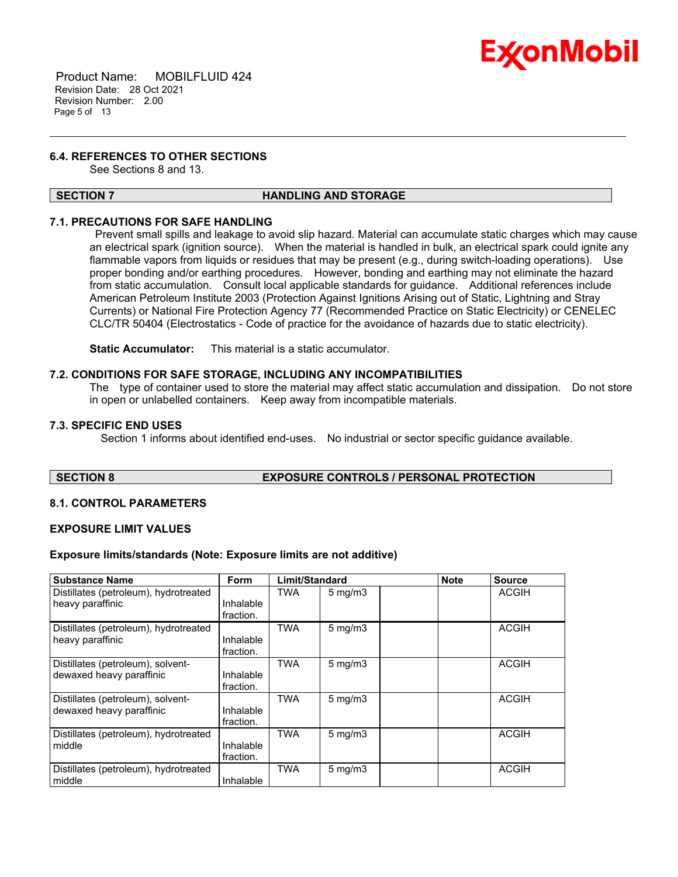

 Product Name: MOBILFLUID 424 Revision Date: 28 Oct 2021 Revision Number: 2.00 Page 5 of 13

## **6.4. REFERENCES TO OTHER SECTIONS**

See Sections 8 and 13.

### **SECTION 7 HANDLING AND STORAGE**

\_\_\_\_\_\_\_\_\_\_\_\_\_\_\_\_\_\_\_\_\_\_\_\_\_\_\_\_\_\_\_\_\_\_\_\_\_\_\_\_\_\_\_\_\_\_\_\_\_\_\_\_\_\_\_\_\_\_\_\_\_\_\_\_\_\_\_\_\_\_\_\_\_\_\_\_\_\_\_\_\_\_\_\_\_\_\_\_\_\_\_\_\_\_\_\_\_\_\_\_\_\_\_\_\_\_\_\_\_\_\_\_\_\_\_\_\_

## **7.1. PRECAUTIONS FOR SAFE HANDLING**

Prevent small spills and leakage to avoid slip hazard. Material can accumulate static charges which may cause an electrical spark (ignition source). When the material is handled in bulk, an electrical spark could ignite any flammable vapors from liquids or residues that may be present (e.g., during switch-loading operations). Use proper bonding and/or earthing procedures. However, bonding and earthing may not eliminate the hazard from static accumulation. Consult local applicable standards for guidance. Additional references include American Petroleum Institute 2003 (Protection Against Ignitions Arising out of Static, Lightning and Stray Currents) or National Fire Protection Agency 77 (Recommended Practice on Static Electricity) or CENELEC CLC/TR 50404 (Electrostatics - Code of practice for the avoidance of hazards due to static electricity).

**Static Accumulator:** This material is a static accumulator.

### **7.2. CONDITIONS FOR SAFE STORAGE, INCLUDING ANY INCOMPATIBILITIES**

The type of container used to store the material may affect static accumulation and dissipation. Do not store in open or unlabelled containers. Keep away from incompatible materials.

## **7.3. SPECIFIC END USES**

Section 1 informs about identified end-uses. No industrial or sector specific guidance available.

### **SECTION 8 EXPOSURE CONTROLS / PERSONAL PROTECTION**

## **8.1. CONTROL PARAMETERS**

#### **EXPOSURE LIMIT VALUES**

### **Exposure limits/standards (Note: Exposure limits are not additive)**

| <b>Substance Name</b>                                         | <b>Form</b>            | Limit/Standard |                  | <b>Note</b> | <b>Source</b> |
|---------------------------------------------------------------|------------------------|----------------|------------------|-------------|---------------|
| Distillates (petroleum), hydrotreated<br>heavy paraffinic     | Inhalable<br>fraction. | TWA            | $5 \text{ mg/m}$ |             | <b>ACGIH</b>  |
| Distillates (petroleum), hydrotreated<br>heavy paraffinic     | Inhalable<br>fraction. | <b>TWA</b>     | $5$ mg/m $3$     |             | <b>ACGIH</b>  |
| Distillates (petroleum), solvent-<br>dewaxed heavy paraffinic | Inhalable<br>fraction. | <b>TWA</b>     | $5$ mg/m $3$     |             | <b>ACGIH</b>  |
| Distillates (petroleum), solvent-<br>dewaxed heavy paraffinic | Inhalable<br>fraction. | <b>TWA</b>     | $5 \text{ mg/m}$ |             | <b>ACGIH</b>  |
| Distillates (petroleum), hydrotreated<br>middle               | Inhalable<br>fraction. | <b>TWA</b>     | $5 \text{ mg/m}$ |             | <b>ACGIH</b>  |
| Distillates (petroleum), hydrotreated<br>middle               | Inhalable              | <b>TWA</b>     | $5 \text{ mg/m}$ |             | <b>ACGIH</b>  |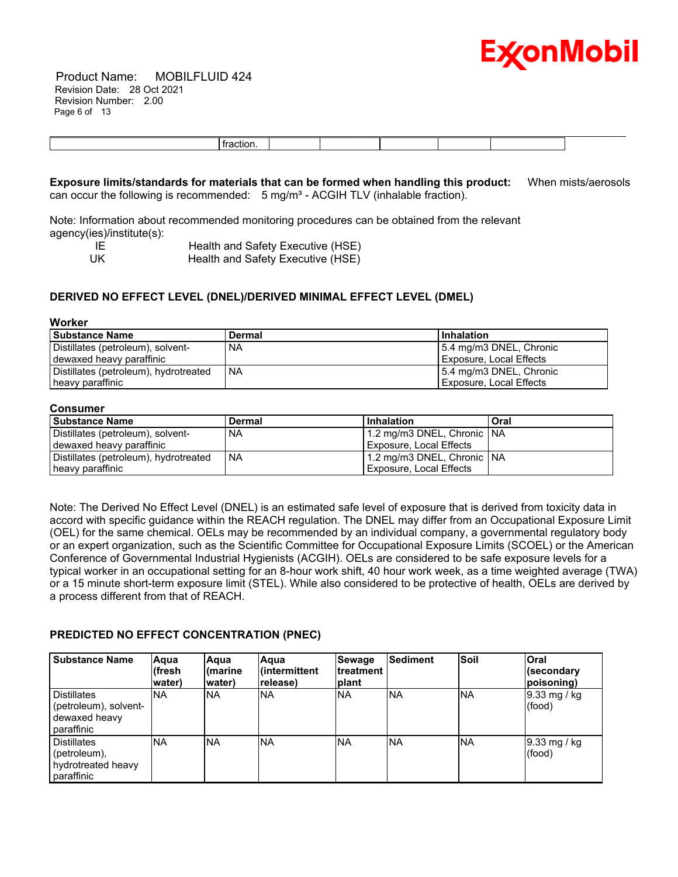

 Product Name: MOBILFLUID 424 Revision Date: 28 Oct 2021 Revision Number: 2.00 Page 6 of 13

| .<br>. |  |  |  |
|--------|--|--|--|

**Exposure limits/standards for materials that can be formed when handling this product:** When mists/aerosols can occur the following is recommended:  $5$  mg/m<sup>3</sup> - ACGIH TLV (inhalable fraction).

Note: Information about recommended monitoring procedures can be obtained from the relevant agency(ies)/institute(s):

IE **Im Health and Safety Executive (HSE)**<br>UK Health and Safety Executive (HSE) Health and Safety Executive (HSE)

## **DERIVED NO EFFECT LEVEL (DNEL)/DERIVED MINIMAL EFFECT LEVEL (DMEL)**

#### **Worker**

| l Substance Name                      | <b>Dermal</b> | Inhalation                |
|---------------------------------------|---------------|---------------------------|
| Distillates (petroleum), solvent-     | <b>NA</b>     | 5.4 mg/m3 DNEL, Chronic   |
| dewaxed heavy paraffinic              |               | Exposure, Local Effects   |
| Distillates (petroleum), hydrotreated | I NA          | l 5.4 mg/m3 DNEL, Chronic |
| heavy paraffinic                      |               | Exposure, Local Effects   |

#### **Consumer**

| <b>Substance Name</b>                 | Dermal | <b>Inhalation</b>              | Oral |
|---------------------------------------|--------|--------------------------------|------|
| Distillates (petroleum), solvent-     | NA     | 1.2 mg/m3 DNEL, Chronic   NA   |      |
| dewaxed heavy paraffinic              |        | Exposure, Local Effects        |      |
| Distillates (petroleum), hydrotreated | ' NA   | 1.2 mg/m3 DNEL, Chronic   NA   |      |
| heavy paraffinic                      |        | <b>Exposure, Local Effects</b> |      |

Note: The Derived No Effect Level (DNEL) is an estimated safe level of exposure that is derived from toxicity data in accord with specific guidance within the REACH regulation. The DNEL may differ from an Occupational Exposure Limit (OEL) for the same chemical. OELs may be recommended by an individual company, a governmental regulatory body or an expert organization, such as the Scientific Committee for Occupational Exposure Limits (SCOEL) or the American Conference of Governmental Industrial Hygienists (ACGIH). OELs are considered to be safe exposure levels for a typical worker in an occupational setting for an 8-hour work shift, 40 hour work week, as a time weighted average (TWA) or a 15 minute short-term exposure limit (STEL). While also considered to be protective of health, OELs are derived by a process different from that of REACH.

## **PREDICTED NO EFFECT CONCENTRATION (PNEC)**

| <b>Substance Name</b>                                                      | Aqua<br>(fresh<br>water) | Aqua<br>∣(marine<br>water) | <b>Aaua</b><br>l(intermittent_<br>release) | Sewage<br>Itreatment<br><b>Iplant</b> | <b>Sediment</b> | Soil       | <b>Oral</b><br>(secondary<br>(poisoning |
|----------------------------------------------------------------------------|--------------------------|----------------------------|--------------------------------------------|---------------------------------------|-----------------|------------|-----------------------------------------|
| <b>Distillates</b><br>(petroleum), solvent-<br>dewaxed heavy<br>paraffinic | <b>NA</b>                | <b>NA</b>                  | NA                                         | <b>NA</b>                             | <b>NA</b>       | <b>NA</b>  | 9.33 mg / kg<br>(food)                  |
| <b>Distillates</b><br>(petroleum),<br>hydrotreated heavy<br>paraffinic     | <b>NA</b>                | <b>INA</b>                 | NA.                                        | INA                                   | <b>NA</b>       | <b>INA</b> | $\vert 9.33 \rangle$ mg / kg<br>(food)  |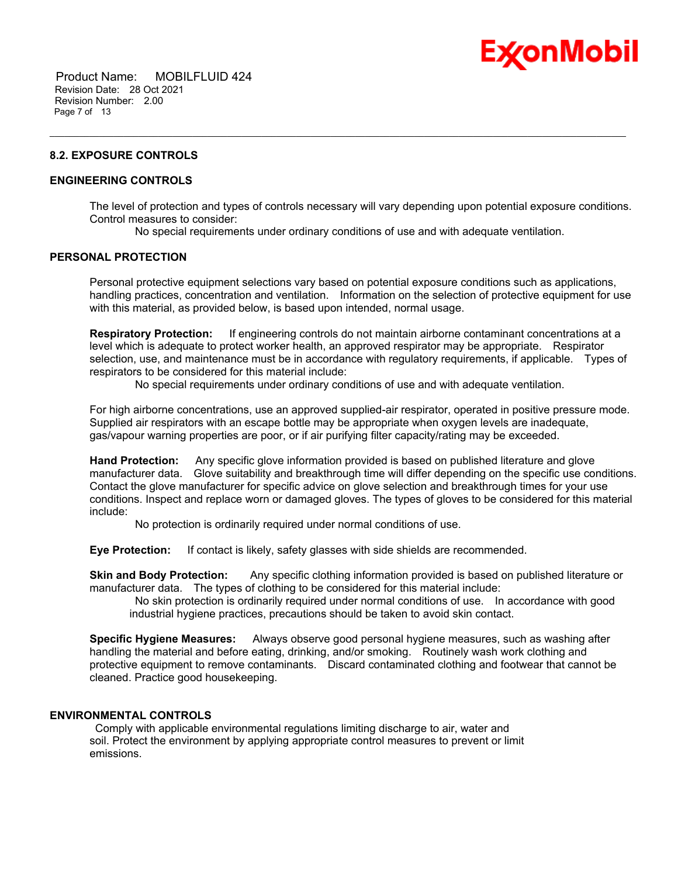

 Product Name: MOBILFLUID 424 Revision Date: 28 Oct 2021 Revision Number: 2.00 Page 7 of 13

## **8.2. EXPOSURE CONTROLS**

## **ENGINEERING CONTROLS**

The level of protection and types of controls necessary will vary depending upon potential exposure conditions. Control measures to consider:

No special requirements under ordinary conditions of use and with adequate ventilation.

\_\_\_\_\_\_\_\_\_\_\_\_\_\_\_\_\_\_\_\_\_\_\_\_\_\_\_\_\_\_\_\_\_\_\_\_\_\_\_\_\_\_\_\_\_\_\_\_\_\_\_\_\_\_\_\_\_\_\_\_\_\_\_\_\_\_\_\_\_\_\_\_\_\_\_\_\_\_\_\_\_\_\_\_\_\_\_\_\_\_\_\_\_\_\_\_\_\_\_\_\_\_\_\_\_\_\_\_\_\_\_\_\_\_\_\_\_

## **PERSONAL PROTECTION**

Personal protective equipment selections vary based on potential exposure conditions such as applications, handling practices, concentration and ventilation. Information on the selection of protective equipment for use with this material, as provided below, is based upon intended, normal usage.

**Respiratory Protection:** If engineering controls do not maintain airborne contaminant concentrations at a level which is adequate to protect worker health, an approved respirator may be appropriate. Respirator selection, use, and maintenance must be in accordance with regulatory requirements, if applicable. Types of respirators to be considered for this material include:

No special requirements under ordinary conditions of use and with adequate ventilation.

For high airborne concentrations, use an approved supplied-air respirator, operated in positive pressure mode. Supplied air respirators with an escape bottle may be appropriate when oxygen levels are inadequate, gas/vapour warning properties are poor, or if air purifying filter capacity/rating may be exceeded.

**Hand Protection:** Any specific glove information provided is based on published literature and glove manufacturer data. Glove suitability and breakthrough time will differ depending on the specific use conditions. Contact the glove manufacturer for specific advice on glove selection and breakthrough times for your use conditions. Inspect and replace worn or damaged gloves. The types of gloves to be considered for this material include:

No protection is ordinarily required under normal conditions of use.

**Eye Protection:** If contact is likely, safety glasses with side shields are recommended.

**Skin and Body Protection:** Any specific clothing information provided is based on published literature or manufacturer data. The types of clothing to be considered for this material include:

No skin protection is ordinarily required under normal conditions of use. In accordance with good industrial hygiene practices, precautions should be taken to avoid skin contact.

**Specific Hygiene Measures:** Always observe good personal hygiene measures, such as washing after handling the material and before eating, drinking, and/or smoking. Routinely wash work clothing and protective equipment to remove contaminants. Discard contaminated clothing and footwear that cannot be cleaned. Practice good housekeeping.

## **ENVIRONMENTAL CONTROLS**

Comply with applicable environmental regulations limiting discharge to air, water and soil. Protect the environment by applying appropriate control measures to prevent or limit emissions.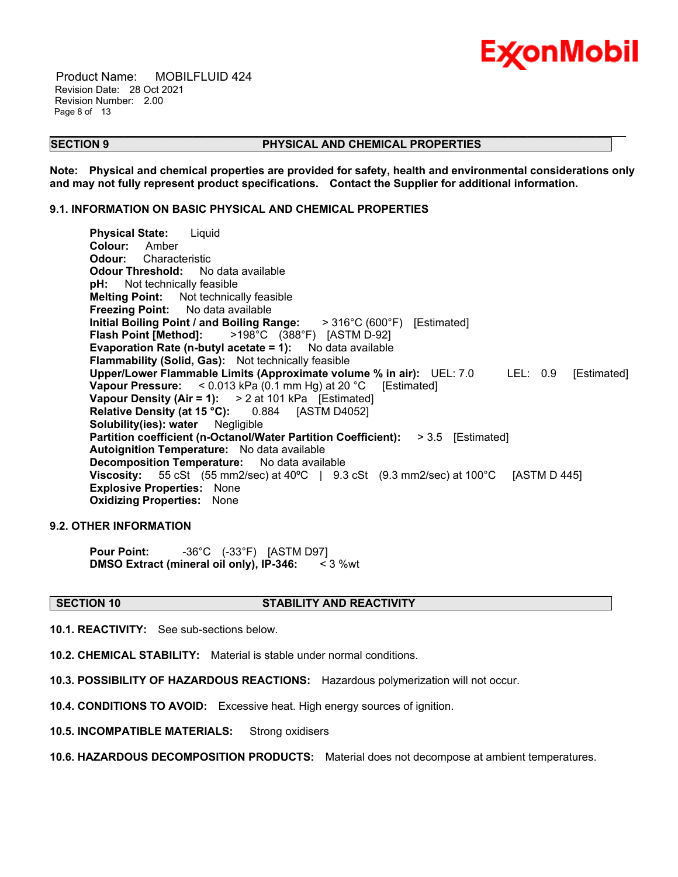

 Product Name: MOBILFLUID 424 Revision Date: 28 Oct 2021 Revision Number: 2.00 Page 8 of 13

### **SECTION 9 PHYSICAL AND CHEMICAL PROPERTIES**

**Note: Physical and chemical properties are provided for safety, health and environmental considerations only and may not fully represent product specifications. Contact the Supplier for additional information.**

\_\_\_\_\_\_\_\_\_\_\_\_\_\_\_\_\_\_\_\_\_\_\_\_\_\_\_\_\_\_\_\_\_\_\_\_\_\_\_\_\_\_\_\_\_\_\_\_\_\_\_\_\_\_\_\_\_\_\_\_\_\_\_\_\_\_\_\_\_\_\_\_\_\_\_\_\_\_\_\_\_\_\_\_\_\_\_\_\_\_\_\_\_\_\_\_\_\_\_\_\_\_\_\_\_\_\_\_\_\_\_\_\_\_\_\_\_

## **9.1. INFORMATION ON BASIC PHYSICAL AND CHEMICAL PROPERTIES**

**Physical State:** Liquid **Colour:** Amber **Odour:** Characteristic **Odour Threshold:** No data available **pH:** Not technically feasible **Melting Point:** Not technically feasible **Freezing Point:** No data available **Initial Boiling Point / and Boiling Range:** > 316°C (600°F) [Estimated] **Flash Point [Method]:** >198°C (388°F) [ASTM D-92] **Evaporation Rate (n-butyl acetate = 1):** No data available **Flammability (Solid, Gas):** Not technically feasible **Upper/Lower Flammable Limits (Approximate volume % in air):** UEL: 7.0 LEL: 0.9 [Estimated] **Vapour Pressure:** < 0.013 kPa (0.1 mm Hg) at 20 °C [Estimated] **Vapour Density (Air = 1):** > 2 at 101 kPa [Estimated] **Relative Density (at 15 °C):** 0.884 [ASTM D4052] **Solubility(ies): water** Negligible **Partition coefficient (n-Octanol/Water Partition Coefficient):** > 3.5 [Estimated] **Autoignition Temperature:** No data available **Decomposition Temperature:** No data available **Viscosity:** 55 cSt (55 mm2/sec) at 40°C | 9.3 cSt (9.3 mm2/sec) at 100°C [ASTM D 445] **Explosive Properties:** None **Oxidizing Properties:** None

## **9.2. OTHER INFORMATION**

**Pour Point:** -36°C (-33°F) [ASTM D97] **DMSO Extract (mineral oil only), IP-346:** < 3 %wt

### **SECTION 10 STABILITY AND REACTIVITY**

**10.1. REACTIVITY:** See sub-sections below.

**10.2. CHEMICAL STABILITY:** Material is stable under normal conditions.

**10.3. POSSIBILITY OF HAZARDOUS REACTIONS:** Hazardous polymerization will not occur.

**10.4. CONDITIONS TO AVOID:** Excessive heat. High energy sources of ignition.

**10.5. INCOMPATIBLE MATERIALS:** Strong oxidisers

**10.6. HAZARDOUS DECOMPOSITION PRODUCTS:** Material does not decompose at ambient temperatures.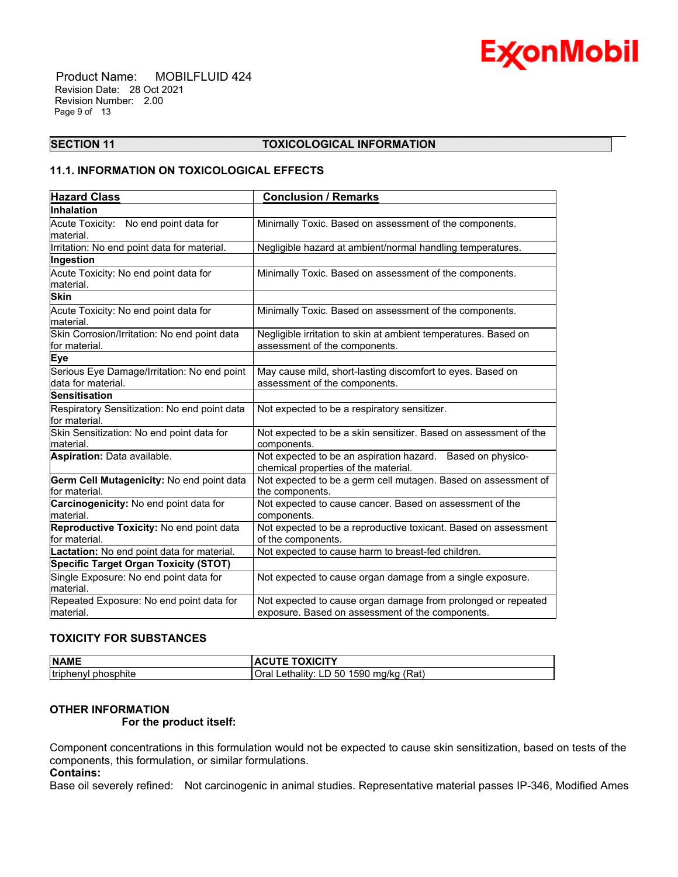

 Product Name: MOBILFLUID 424 Revision Date: 28 Oct 2021 Revision Number: 2.00 Page 9 of 13

#### \_\_\_\_\_\_\_\_\_\_\_\_\_\_\_\_\_\_\_\_\_\_\_\_\_\_\_\_\_\_\_\_\_\_\_\_\_\_\_\_\_\_\_\_\_\_\_\_\_\_\_\_\_\_\_\_\_\_\_\_\_\_\_\_\_\_\_\_\_\_\_\_\_\_\_\_\_\_\_\_\_\_\_\_\_\_\_\_\_\_\_\_\_\_\_\_\_\_\_\_\_\_\_\_\_\_\_\_\_\_\_\_\_\_\_\_\_ **SECTION 11 TOXICOLOGICAL INFORMATION**

## **11.1. INFORMATION ON TOXICOLOGICAL EFFECTS**

| <b>Hazard Class</b>                                           | <b>Conclusion / Remarks</b>                                                                        |
|---------------------------------------------------------------|----------------------------------------------------------------------------------------------------|
| Inhalation                                                    |                                                                                                    |
| Acute Toxicity: No end point data for                         | Minimally Toxic. Based on assessment of the components.                                            |
| lmaterial.                                                    |                                                                                                    |
| Irritation: No end point data for material.                   | Negligible hazard at ambient/normal handling temperatures.                                         |
| Ingestion                                                     |                                                                                                    |
| Acute Toxicity: No end point data for                         | Minimally Toxic. Based on assessment of the components.                                            |
| material.                                                     |                                                                                                    |
| <b>Skin</b>                                                   |                                                                                                    |
| Acute Toxicity: No end point data for                         | Minimally Toxic. Based on assessment of the components.                                            |
| material.                                                     |                                                                                                    |
| Skin Corrosion/Irritation: No end point data                  | Negligible irritation to skin at ambient temperatures. Based on                                    |
| for material.                                                 | assessment of the components.                                                                      |
| Eye                                                           |                                                                                                    |
| Serious Eye Damage/Irritation: No end point                   | May cause mild, short-lasting discomfort to eyes. Based on                                         |
| ldata for material.                                           | assessment of the components.                                                                      |
| Sensitisation                                                 |                                                                                                    |
| Respiratory Sensitization: No end point data<br>for material. | Not expected to be a respiratory sensitizer.                                                       |
| Skin Sensitization: No end point data for<br>material.        | Not expected to be a skin sensitizer. Based on assessment of the<br>components.                    |
| Aspiration: Data available.                                   | Not expected to be an aspiration hazard. Based on physico-<br>chemical properties of the material. |
| Germ Cell Mutagenicity: No end point data<br>for material.    | Not expected to be a germ cell mutagen. Based on assessment of<br>the components.                  |
| Carcinogenicity: No end point data for                        | Not expected to cause cancer. Based on assessment of the                                           |
| lmaterial.                                                    | components.                                                                                        |
| Reproductive Toxicity: No end point data                      | Not expected to be a reproductive toxicant. Based on assessment                                    |
| for material.                                                 | of the components.                                                                                 |
| Lactation: No end point data for material.                    | Not expected to cause harm to breast-fed children.                                                 |
| <b>Specific Target Organ Toxicity (STOT)</b>                  |                                                                                                    |
| Single Exposure: No end point data for<br>lmaterial.          | Not expected to cause organ damage from a single exposure.                                         |
| Repeated Exposure: No end point data for                      | Not expected to cause organ damage from prolonged or repeated                                      |
| material.                                                     | exposure. Based on assessment of the components.                                                   |

## **TOXICITY FOR SUBSTANCES**

| <b>NAME</b>                   | . TOXICITY<br>ACU                                                  |
|-------------------------------|--------------------------------------------------------------------|
| .<br>phosphite<br>  triphenyl | 1590<br>ma/ka<br>(Rat<br>∟ethality∵<br>LD 50 <sup>2</sup><br>⊺Ora⊾ |

## **OTHER INFORMATION**

 **For the product itself:** 

Component concentrations in this formulation would not be expected to cause skin sensitization, based on tests of the components, this formulation, or similar formulations.

## **Contains:**

Base oil severely refined: Not carcinogenic in animal studies. Representative material passes IP-346, Modified Ames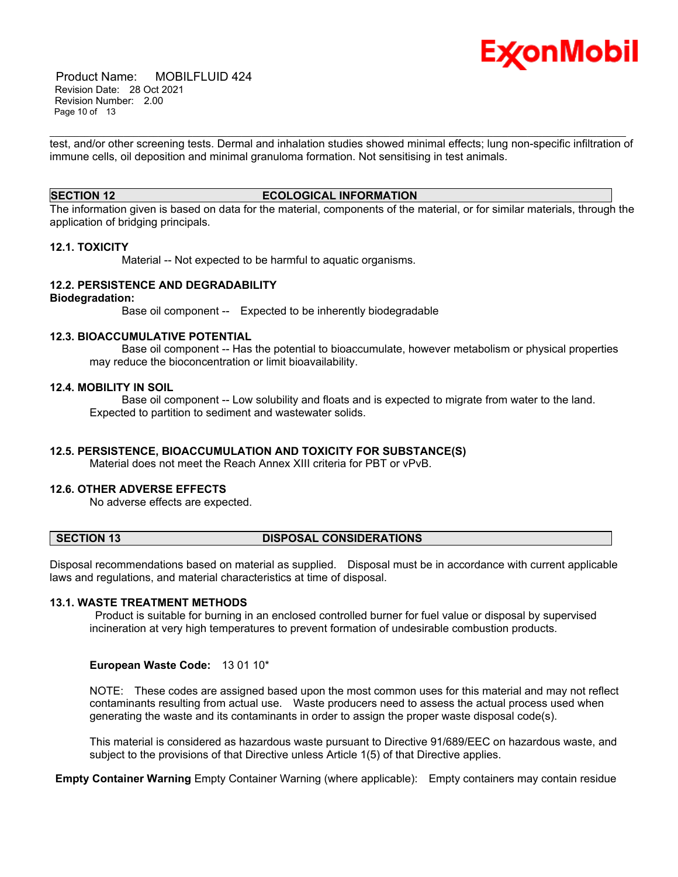

 Product Name: MOBILFLUID 424 Revision Date: 28 Oct 2021 Revision Number: 2.00 Page 10 of 13

\_\_\_\_\_\_\_\_\_\_\_\_\_\_\_\_\_\_\_\_\_\_\_\_\_\_\_\_\_\_\_\_\_\_\_\_\_\_\_\_\_\_\_\_\_\_\_\_\_\_\_\_\_\_\_\_\_\_\_\_\_\_\_\_\_\_\_\_\_\_\_\_\_\_\_\_\_\_\_\_\_\_\_\_\_\_\_\_\_\_\_\_\_\_\_\_\_\_\_\_\_\_\_\_\_\_\_\_\_\_\_\_\_\_\_\_\_ test, and/or other screening tests. Dermal and inhalation studies showed minimal effects; lung non-specific infiltration of immune cells, oil deposition and minimal granuloma formation. Not sensitising in test animals.

### **SECTION 12 ECOLOGICAL INFORMATION**

The information given is based on data for the material, components of the material, or for similar materials, through the application of bridging principals.

#### **12.1. TOXICITY**

Material -- Not expected to be harmful to aquatic organisms.

## **12.2. PERSISTENCE AND DEGRADABILITY**

### **Biodegradation:**

Base oil component -- Expected to be inherently biodegradable

#### **12.3. BIOACCUMULATIVE POTENTIAL**

 Base oil component -- Has the potential to bioaccumulate, however metabolism or physical properties may reduce the bioconcentration or limit bioavailability.

## **12.4. MOBILITY IN SOIL**

 Base oil component -- Low solubility and floats and is expected to migrate from water to the land. Expected to partition to sediment and wastewater solids.

## **12.5. PERSISTENCE, BIOACCUMULATION AND TOXICITY FOR SUBSTANCE(S)**

Material does not meet the Reach Annex XIII criteria for PBT or vPvB.

### **12.6. OTHER ADVERSE EFFECTS**

No adverse effects are expected.

Disposal recommendations based on material as supplied. Disposal must be in accordance with current applicable laws and regulations, and material characteristics at time of disposal.

#### **13.1. WASTE TREATMENT METHODS**

Product is suitable for burning in an enclosed controlled burner for fuel value or disposal by supervised incineration at very high temperatures to prevent formation of undesirable combustion products.

## **European Waste Code:** 13 01 10\*

NOTE: These codes are assigned based upon the most common uses for this material and may not reflect contaminants resulting from actual use. Waste producers need to assess the actual process used when generating the waste and its contaminants in order to assign the proper waste disposal code(s).

This material is considered as hazardous waste pursuant to Directive 91/689/EEC on hazardous waste, and subject to the provisions of that Directive unless Article 1(5) of that Directive applies.

**Empty Container Warning** Empty Container Warning (where applicable): Empty containers may contain residue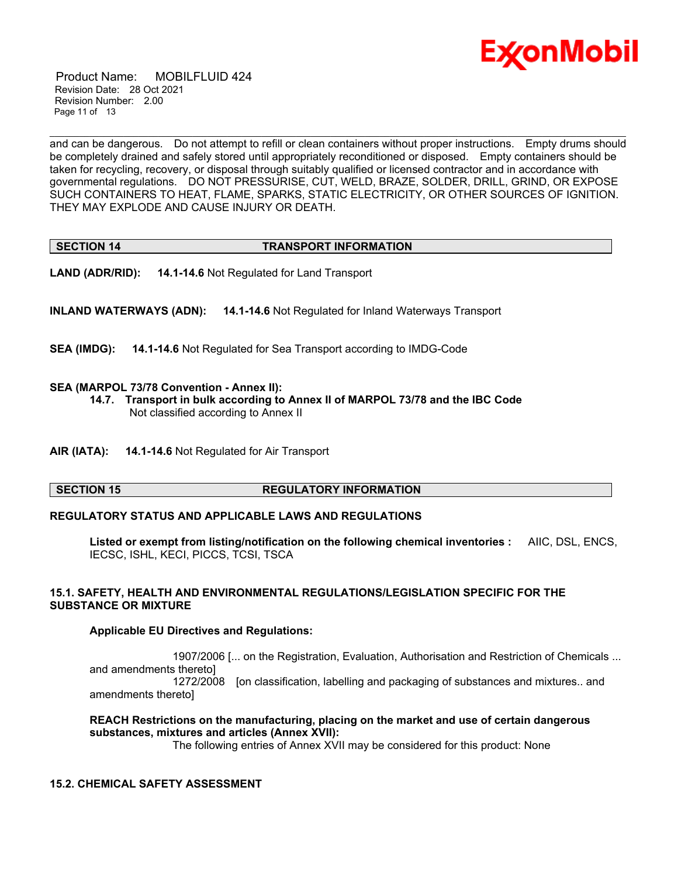

 Product Name: MOBILFLUID 424 Revision Date: 28 Oct 2021 Revision Number: 2.00 Page 11 of 13

and can be dangerous. Do not attempt to refill or clean containers without proper instructions. Empty drums should be completely drained and safely stored until appropriately reconditioned or disposed. Empty containers should be taken for recycling, recovery, or disposal through suitably qualified or licensed contractor and in accordance with governmental regulations. DO NOT PRESSURISE, CUT, WELD, BRAZE, SOLDER, DRILL, GRIND, OR EXPOSE SUCH CONTAINERS TO HEAT, FLAME, SPARKS, STATIC ELECTRICITY, OR OTHER SOURCES OF IGNITION. THEY MAY EXPLODE AND CAUSE INJURY OR DEATH.

\_\_\_\_\_\_\_\_\_\_\_\_\_\_\_\_\_\_\_\_\_\_\_\_\_\_\_\_\_\_\_\_\_\_\_\_\_\_\_\_\_\_\_\_\_\_\_\_\_\_\_\_\_\_\_\_\_\_\_\_\_\_\_\_\_\_\_\_\_\_\_\_\_\_\_\_\_\_\_\_\_\_\_\_\_\_\_\_\_\_\_\_\_\_\_\_\_\_\_\_\_\_\_\_\_\_\_\_\_\_\_\_\_\_\_\_\_

### **SECTION 14 TRANSPORT INFORMATION**

**LAND (ADR/RID): 14.1-14.6** Not Regulated for Land Transport

**INLAND WATERWAYS (ADN): 14.1-14.6** Not Regulated for Inland Waterways Transport

**SEA (IMDG): 14.1-14.6** Not Regulated for Sea Transport according to IMDG-Code

## **SEA (MARPOL 73/78 Convention - Annex II):**

- **14.7. Transport in bulk according to Annex II of MARPOL 73/78 and the IBC Code** Not classified according to Annex II
- **AIR (IATA): 14.1-14.6** Not Regulated for Air Transport

## **SECTION 15 REGULATORY INFORMATION**

## **REGULATORY STATUS AND APPLICABLE LAWS AND REGULATIONS**

**Listed or exempt from listing/notification on the following chemical inventories :** AIIC, DSL, ENCS, IECSC, ISHL, KECI, PICCS, TCSI, TSCA

## **15.1. SAFETY, HEALTH AND ENVIRONMENTAL REGULATIONS/LEGISLATION SPECIFIC FOR THE SUBSTANCE OR MIXTURE**

## **Applicable EU Directives and Regulations:**

 1907/2006 [... on the Registration, Evaluation, Authorisation and Restriction of Chemicals ... and amendments thereto] 1272/2008 [on classification, labelling and packaging of substances and mixtures.. and amendments thereto]

## **REACH Restrictions on the manufacturing, placing on the market and use of certain dangerous substances, mixtures and articles (Annex XVII):**

The following entries of Annex XVII may be considered for this product: None

## **15.2. CHEMICAL SAFETY ASSESSMENT**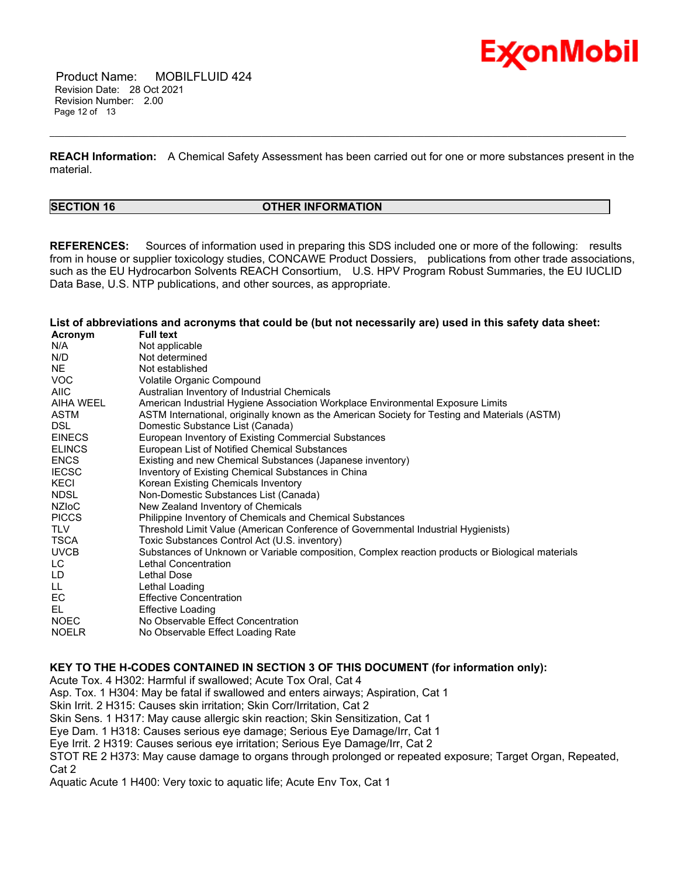

 Product Name: MOBILFLUID 424 Revision Date: 28 Oct 2021 Revision Number: 2.00 Page 12 of 13

**REACH Information:** A Chemical Safety Assessment has been carried out for one or more substances present in the material.

\_\_\_\_\_\_\_\_\_\_\_\_\_\_\_\_\_\_\_\_\_\_\_\_\_\_\_\_\_\_\_\_\_\_\_\_\_\_\_\_\_\_\_\_\_\_\_\_\_\_\_\_\_\_\_\_\_\_\_\_\_\_\_\_\_\_\_\_\_\_\_\_\_\_\_\_\_\_\_\_\_\_\_\_\_\_\_\_\_\_\_\_\_\_\_\_\_\_\_\_\_\_\_\_\_\_\_\_\_\_\_\_\_\_\_\_\_

## **SECTION 16 OTHER INFORMATION**

**REFERENCES:** Sources of information used in preparing this SDS included one or more of the following: results from in house or supplier toxicology studies, CONCAWE Product Dossiers, publications from other trade associations, such as the EU Hydrocarbon Solvents REACH Consortium, U.S. HPV Program Robust Summaries, the EU IUCLID Data Base, U.S. NTP publications, and other sources, as appropriate.

### List of abbreviations and acronyms that could be (but not necessarily are) used in this safety data sheet:

| <b>Full text</b>                                                                                 |
|--------------------------------------------------------------------------------------------------|
| Not applicable                                                                                   |
| Not determined                                                                                   |
| Not established                                                                                  |
| Volatile Organic Compound                                                                        |
| Australian Inventory of Industrial Chemicals                                                     |
| American Industrial Hygiene Association Workplace Environmental Exposure Limits                  |
| ASTM International, originally known as the American Society for Testing and Materials (ASTM)    |
| Domestic Substance List (Canada)                                                                 |
| European Inventory of Existing Commercial Substances                                             |
| European List of Notified Chemical Substances                                                    |
| Existing and new Chemical Substances (Japanese inventory)                                        |
| Inventory of Existing Chemical Substances in China                                               |
| Korean Existing Chemicals Inventory                                                              |
| Non-Domestic Substances List (Canada)                                                            |
| New Zealand Inventory of Chemicals                                                               |
| Philippine Inventory of Chemicals and Chemical Substances                                        |
| Threshold Limit Value (American Conference of Governmental Industrial Hygienists)                |
| Toxic Substances Control Act (U.S. inventory)                                                    |
| Substances of Unknown or Variable composition, Complex reaction products or Biological materials |
| Lethal Concentration                                                                             |
| Lethal Dose                                                                                      |
| Lethal Loading                                                                                   |
| <b>Effective Concentration</b>                                                                   |
| <b>Effective Loading</b>                                                                         |
| No Observable Effect Concentration                                                               |
| No Observable Effect Loading Rate                                                                |
|                                                                                                  |

## **KEY TO THE H-CODES CONTAINED IN SECTION 3 OF THIS DOCUMENT (for information only):**

Acute Tox. 4 H302: Harmful if swallowed; Acute Tox Oral, Cat 4 Asp. Tox. 1 H304: May be fatal if swallowed and enters airways; Aspiration, Cat 1 Skin Irrit. 2 H315: Causes skin irritation; Skin Corr/Irritation, Cat 2 Skin Sens. 1 H317: May cause allergic skin reaction; Skin Sensitization, Cat 1 Eye Dam. 1 H318: Causes serious eye damage; Serious Eye Damage/Irr, Cat 1 Eye Irrit. 2 H319: Causes serious eye irritation; Serious Eye Damage/Irr, Cat 2 STOT RE 2 H373: May cause damage to organs through prolonged or repeated exposure; Target Organ, Repeated, Cat 2

Aquatic Acute 1 H400: Very toxic to aquatic life; Acute Env Tox, Cat 1